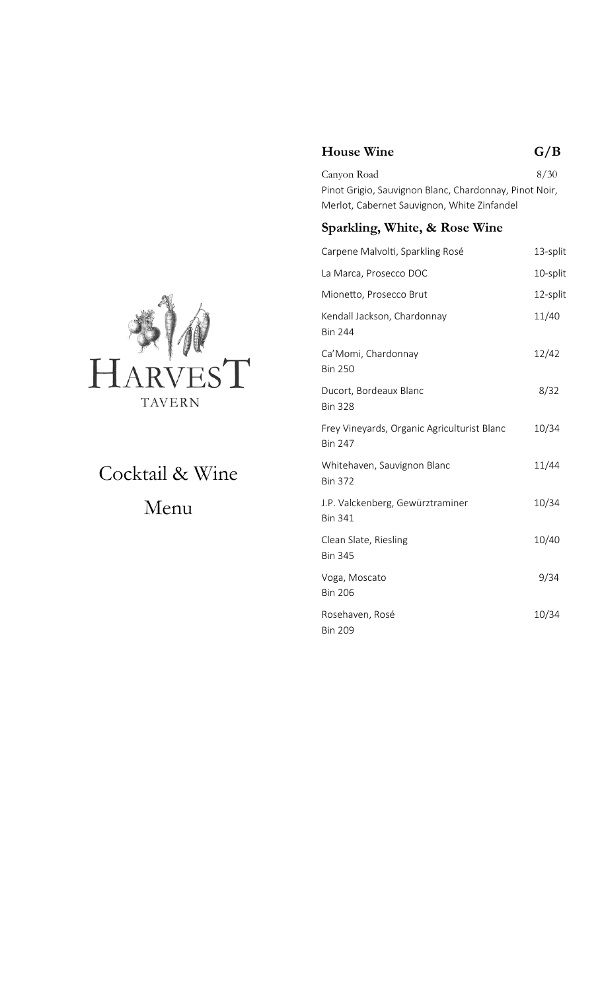### **House Wine G/B**

Canyon Road 8/30 Pinot Grigio, Sauvignon Blanc, Chardonnay, Pinot Noir, Merlot, Cabernet Sauvignon, White Zinfandel

#### **Sparkling, White, & Rose Wine**

| Carpene Malvolti, Sparkling Rosé                              | 13-split |
|---------------------------------------------------------------|----------|
| La Marca, Prosecco DOC                                        | 10-split |
| Mionetto, Prosecco Brut                                       | 12-split |
| Kendall Jackson, Chardonnay<br><b>Bin 244</b>                 | 11/40    |
| Ca' Momi, Chardonnay<br><b>Bin 250</b>                        | 12/42    |
| Ducort, Bordeaux Blanc<br><b>Bin 328</b>                      | 8/32     |
| Frey Vineyards, Organic Agriculturist Blanc<br><b>Bin 247</b> | 10/34    |
| Whitehaven, Sauvignon Blanc<br><b>Bin 372</b>                 | 11/44    |
| J.P. Valckenberg, Gewürztraminer<br><b>Bin 341</b>            | 10/34    |
| Clean Slate, Riesling<br><b>Bin 345</b>                       | 10/40    |
| Voga, Moscato<br><b>Bin 206</b>                               | 9/34     |
| Rosehaven, Rosé<br><b>Bin 209</b>                             | 10/34    |



Cocktail & Wine Menu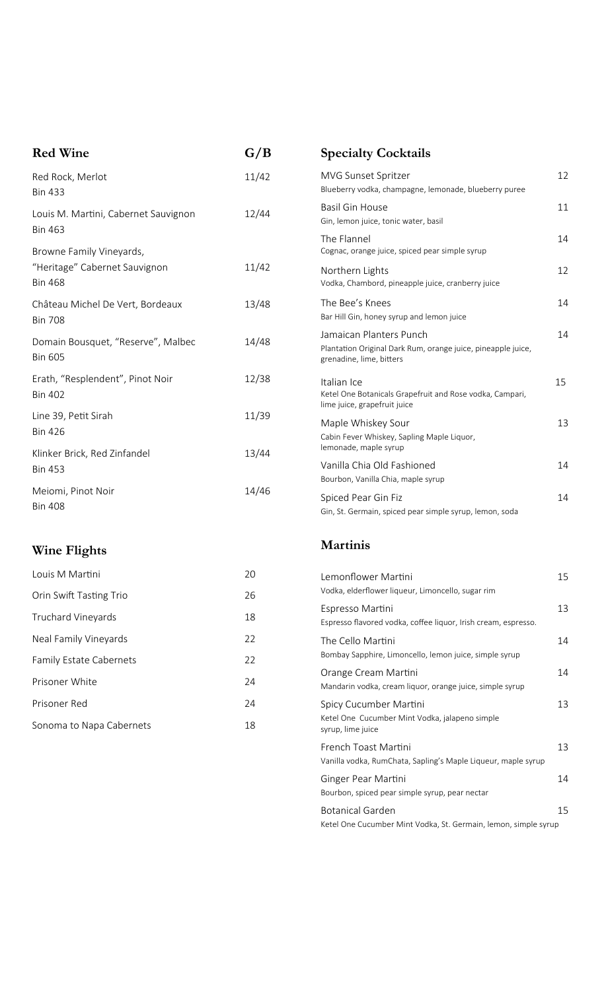| <b>Red Wine</b>                                        | G/B   | <b>Specialty Cocktails</b>                                                                                           |    |
|--------------------------------------------------------|-------|----------------------------------------------------------------------------------------------------------------------|----|
| Red Rock, Merlot<br><b>Bin 433</b>                     | 11/42 | MVG Sunset Spritzer<br>Blueberry vodka, champagne, lemonade, blueberry puree                                         | 12 |
| Louis M. Martini, Cabernet Sauvignon<br><b>Bin 463</b> | 12/44 | <b>Basil Gin House</b><br>Gin, lemon juice, tonic water, basil                                                       | 11 |
| Browne Family Vineyards,                               |       | The Flannel<br>Cognac, orange juice, spiced pear simple syrup                                                        | 14 |
| "Heritage" Cabernet Sauvignon<br><b>Bin 468</b>        | 11/42 | Northern Lights<br>Vodka, Chambord, pineapple juice, cranberry juice                                                 | 12 |
| Château Michel De Vert, Bordeaux<br><b>Bin 708</b>     | 13/48 | The Bee's Knees<br>Bar Hill Gin, honey syrup and lemon juice                                                         | 14 |
| Domain Bousquet, "Reserve", Malbec<br><b>Bin 605</b>   | 14/48 | Jamaican Planters Punch<br>Plantation Original Dark Rum, orange juice, pineapple juice,<br>grenadine, lime, bitters  | 14 |
| Erath, "Resplendent", Pinot Noir<br><b>Bin 402</b>     | 12/38 | Italian Ice<br>Ketel One Botanicals Grapefruit and Rose vodka, Campari,<br>lime juice, grapefruit juice              | 15 |
| Line 39, Petit Sirah<br><b>Bin 426</b>                 | 11/39 | Maple Whiskey Sour<br>Cabin Fever Whiskey, Sapling Maple Liquor,                                                     | 13 |
| Klinker Brick, Red Zinfandel<br><b>Bin 453</b>         | 13/44 | lemonade, maple syrup<br>Vanilla Chia Old Fashioned                                                                  | 14 |
| Meiomi, Pinot Noir<br><b>Bin 408</b>                   | 14/46 | Bourbon, Vanilla Chia, maple syrup<br>Spiced Pear Gin Fiz<br>Gin, St. Germain, spiced pear simple syrup, lemon, soda | 14 |

# **Wine Flights**

| Louis M Martini                | 20 |
|--------------------------------|----|
| Orin Swift Tasting Trio        | 26 |
| Truchard Vineyards             | 18 |
| Neal Family Vineyards          | 22 |
| <b>Family Estate Cabernets</b> | 22 |
| Prisoner White                 | 24 |
| Prisoner Red                   | 24 |
| Sonoma to Napa Cabernets       | 18 |

### **Martinis**

| Lemonflower Martini<br>Vodka, elderflower liqueur, Limoncello, sugar rim                      | 15 |
|-----------------------------------------------------------------------------------------------|----|
| Espresso Martini<br>Espresso flavored vodka, coffee liquor, Irish cream, espresso.            | 13 |
| The Cello Martini<br>Bombay Sapphire, Limoncello, lemon juice, simple syrup                   | 14 |
| Orange Cream Martini<br>Mandarin vodka, cream liquor, orange juice, simple syrup              | 14 |
| Spicy Cucumber Martini<br>Ketel One Cucumber Mint Vodka, jalapeno simple<br>syrup, lime juice | 13 |
| French Toast Martini<br>Vanilla vodka, RumChata, Sapling's Maple Liqueur, maple syrup         | 13 |
| Ginger Pear Martini<br>Bourbon, spiced pear simple syrup, pear nectar                         | 14 |
| <b>Botanical Garden</b><br>Ketel One Cucumber Mint Vodka, St. Germain, lemon, simple syrup    | 15 |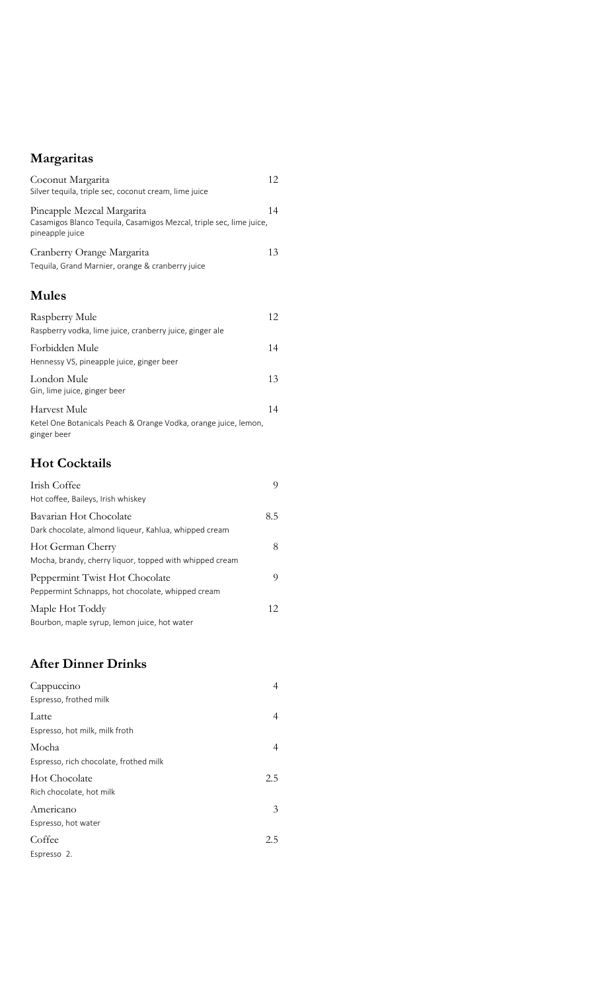# **Margaritas**

| Coconut Margarita<br>Silver tequila, triple sec, coconut cream, lime juice                                           | 12 |
|----------------------------------------------------------------------------------------------------------------------|----|
| Pineapple Mezcal Margarita<br>Casamigos Blanco Tequila, Casamigos Mezcal, triple sec, lime juice,<br>pineapple juice | 14 |
| Cranberry Orange Margarita<br>Tequila, Grand Marnier, orange & cranberry juice                                       | 13 |
| <b>Mules</b>                                                                                                         |    |
| Raspberry Mule<br>Raspberry vodka, lime juice, cranberry juice, ginger ale                                           | 12 |
| Forbidden Mule<br>Hennessy VS, pineapple juice, ginger beer                                                          | 14 |
| London Mule<br>Gin, lime juice, ginger beer                                                                          | 13 |
| Harvest Mule<br>Ketel One Botanicals Peach & Orange Vodka, orange juice, lemon,<br>ginger beer                       | 14 |
| <b>Hot Cocktails</b>                                                                                                 |    |
| Irish Coffee<br>Hot coffee, Baileys, Irish whiskey                                                                   | 9  |
| 8.5<br>Bavarian Hot Chocolate<br>Dark chocolate, almond liqueur, Kahlua, whipped cream                               |    |
| Hot German Cherry<br>Mocha, brandy, cherry liquor, topped with whipped cream                                         | 8  |
| Peppermint Twist Hot Chocolate<br>Peppermint Schnapps, hot chocolate, whipped cream                                  | 9  |

| Maple Hot Toddy                              |  |
|----------------------------------------------|--|
| Bourbon, maple syrup, lemon juice, hot water |  |

### **After Dinner Drinks**

| Cappuccino<br>Espresso, frothed milk            | 4   |
|-------------------------------------------------|-----|
| Latte<br>Espresso, hot milk, milk froth         | 4   |
| Mocha<br>Espresso, rich chocolate, frothed milk | 4   |
| Hot Chocolate<br>Rich chocolate, hot milk       | 2.5 |
| Americano<br>Espresso, hot water                | 3   |
| Coffee<br>Espresso 2.                           | 2.5 |